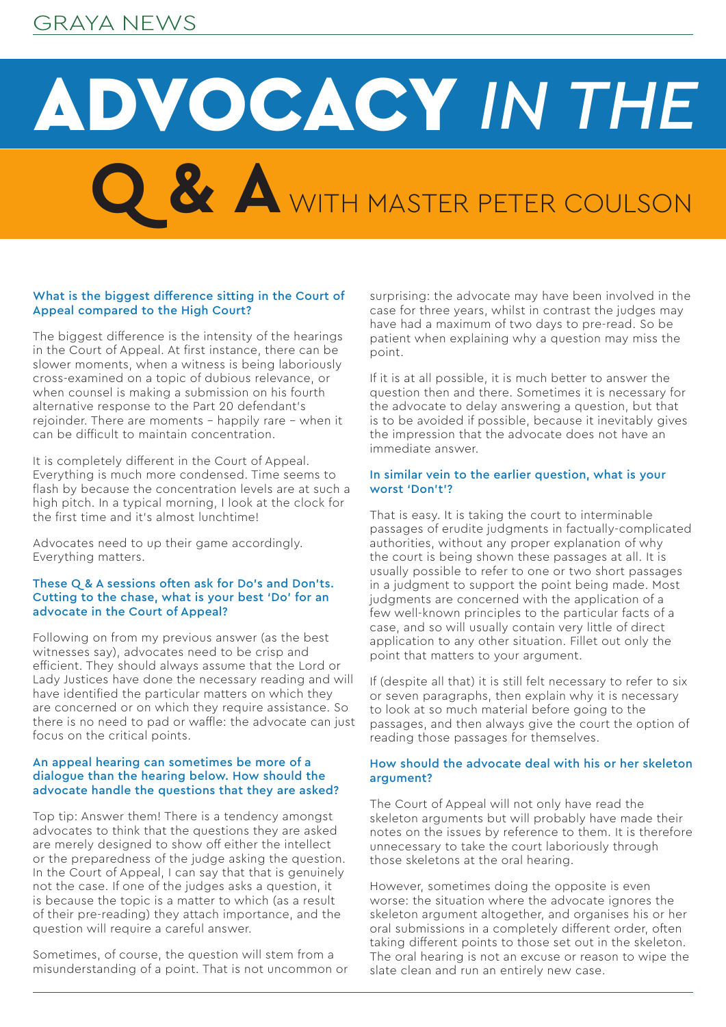## GRAYA NEWS

# **Q & A** WITH MASTER PETER COULSON **ADVOCACY IN THE**

## What is the biggest difference sitting in the Court of Appeal compared to the High Court?

The biggest difference is the intensity of the hearings in the Court of Appeal. At first instance, there can be slower moments, when a witness is being laboriously cross-examined on a topic of dubious relevance, or when counsel is making a submission on his fourth alternative response to the Part 20 defendant's rejoinder. There are moments – happily rare – when it can be difficult to maintain concentration.

It is completely different in the Court of Appeal. Everything is much more condensed. Time seems to flash by because the concentration levels are at such a high pitch. In a typical morning, I look at the clock for the first time and it's almost lunchtime!

Advocates need to up their game accordingly. Everything matters.

## These Q & A sessions often ask for Do's and Don'ts. Cutting to the chase, what is your best 'Do' for an advocate in the Court of Appeal?

Following on from my previous answer (as the best witnesses say), advocates need to be crisp and efficient. They should always assume that the Lord or Lady Justices have done the necessary reading and will have identified the particular matters on which they are concerned or on which they require assistance. So there is no need to pad or waffle: the advocate can just focus on the critical points.

## An appeal hearing can sometimes be more of a dialogue than the hearing below. How should the advocate handle the questions that they are asked?

Top tip: Answer them! There is a tendency amongst advocates to think that the questions they are asked are merely designed to show off either the intellect or the preparedness of the judge asking the question. In the Court of Appeal, I can say that that is genuinely not the case. If one of the judges asks a question, it is because the topic is a matter to which (as a result of their pre-reading) they attach importance, and the question will require a careful answer.

Sometimes, of course, the question will stem from a misunderstanding of a point. That is not uncommon or surprising: the advocate may have been involved in the case for three years, whilst in contrast the judges may have had a maximum of two days to pre-read. So be patient when explaining why a question may miss the point.

If it is at all possible, it is much better to answer the question then and there. Sometimes it is necessary for the advocate to delay answering a question, but that is to be avoided if possible, because it inevitably gives the impression that the advocate does not have an immediate answer.

## In similar vein to the earlier question, what is your worst 'Don't'?

That is easy. It is taking the court to interminable passages of erudite judgments in factually-complicated authorities, without any proper explanation of why the court is being shown these passages at all. It is usually possible to refer to one or two short passages in a judgment to support the point being made. Most judgments are concerned with the application of a few well-known principles to the particular facts of a case, and so will usually contain very little of direct application to any other situation. Fillet out only the point that matters to your argument.

If (despite all that) it is still felt necessary to refer to six or seven paragraphs, then explain why it is necessary to look at so much material before going to the passages, and then always give the court the option of reading those passages for themselves.

## How should the advocate deal with his or her skeleton argument?

The Court of Appeal will not only have read the skeleton arguments but will probably have made their notes on the issues by reference to them. It is therefore unnecessary to take the court laboriously through those skeletons at the oral hearing.

However, sometimes doing the opposite is even worse: the situation where the advocate ignores the skeleton argument altogether, and organises his or her oral submissions in a completely different order, often taking different points to those set out in the skeleton. The oral hearing is not an excuse or reason to wipe the slate clean and run an entirely new case.